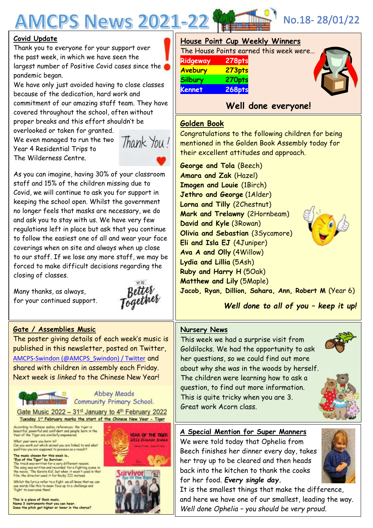# **MCPS News 2021-22**

#### **Covid Update**

Thank you to everyone for your support over the past week, in which we have seen the largest number of Positive Covid cases since the pandemic began.

We have only just avoided having to close classes because of the dedication, hard work and commitment of our amazing staff team. They have covered throughout the school, often without proper breaks and this effort shouldn't be

overlooked or taken for granted. We even managed to run the two Year 4 Residential Trips to The Wilderness Centre.



As you can imagine, having 30% of your classroom staff and 15% of the children missing due to Covid, we will continue to ask you for support in keeping the school open. Whilst the government no longer feels that masks are necessary, we do and ask you to stay with us. We have very few regulations left in place but ask that you continue to follow the easiest one of all and wear your face coverings when on site and always when up close to our staff. If we lose any more staff, we may be forced to make difficult decisions regarding the closing of classes.

Many thanks, as always, for your continued support.

Together

# **Gate / Assemblies Music**

The poster giving details of each week's music is published in this newsletter, posted on Twitter, [AMCPS-Swindon \(@AMCPS\\_Swindon\) / Twitter](https://mobile.twitter.com/AMCPS_Swindon) and shared with children in assembly each Friday. Next week is *linked* to the Chinese New Year!

fanen mistä

**Abbey Meads Community Primary School.** 

Gate Music 2022 - 31<sup>st</sup> January to 4<sup>th</sup> February 2022 Tuesday 1st February marks the start of the Chinese New Year - Tiger

According to Chinese asdiac references, the tiger is<br>beautiful, powerful and confident and people born in the<br>Vear of the Tiger are similarly enpowered.

What year were you born in?<br>Can you work out which animal you are linked to and what qualities you are supposed to possess as a nesult?

The music chosen for this week is...<br>
"Bye of the Tiger" by Surviver.<br>
The track material for a very different reason.<br>
The track material and recorded for a fighting scene in the movie. The Karate Kid', but when it wasn'

Whilst the lyrics refer to a fight, we all know that we can<br>use words like this to mean face up to a challenge and<br>"fight" to overcome them!

This is a piece of Rock music.<br>Name 3 instruments that you can hear.<br>Does the pitch get higher or lower in the chorus?



| House Point Cup Weekly Winners         |        |  |
|----------------------------------------|--------|--|
| The House Points earned this week were |        |  |
| Ridgeway                               | 278pts |  |
| Avebury                                | 273pts |  |
| <b>Silbury</b>                         | 270pts |  |
| <b>Kennet</b>                          | 268pts |  |
|                                        |        |  |

# **Well done everyone!**

## **Golden Book**

Congratulations to the following children for being mentioned in the Golden Book Assembly today for their excellent attitudes and approach.

**George and Tola** (Beech) **Amara and Zak** (Hazel) **Imogen and Louie** (1Birch) **Jethro and George** (1Alder) **Lorna and Tilly** (2Chestnut) **Mark and Trelawny** (2Hornbeam) **David and Kyle** (3Rowan) **Olivia and Sebastian** (3Sycamore) **Eli and Isla EJ** (4Juniper) **Ava A and Olly** (4Willow) **Lydia and Lillia** (5Ash) **Ruby and Harry H** (5Oak) **Matthew and Lily** (5Maple)

**Jacob, Ryan, Dillion, Sahara, Ann, Robert M** (Year 6)

*Well done to all of you – keep it up!*

## **Nursery News**

This week we had a surprise visit from Goldilocks. We had the opportunity to ask her questions, so we could find out more about why she was in the woods by herself. The children were learning how to ask a question, to find out more information. This is quite tricky when you are 3. Great work Acorn class.

# **A Special Mention for Super Manners**

We were told today that Ophelia from Beech finishes her dinner every day, takes her tray up to be cleared and then heads back into the kitchen to thank the cooks for her food. *Every single day.*



It is the smallest things that make the difference, and here we have one of our smallest, leading the way. *Well done Ophelia – you should be very proud.*



No.18- 28/01/22